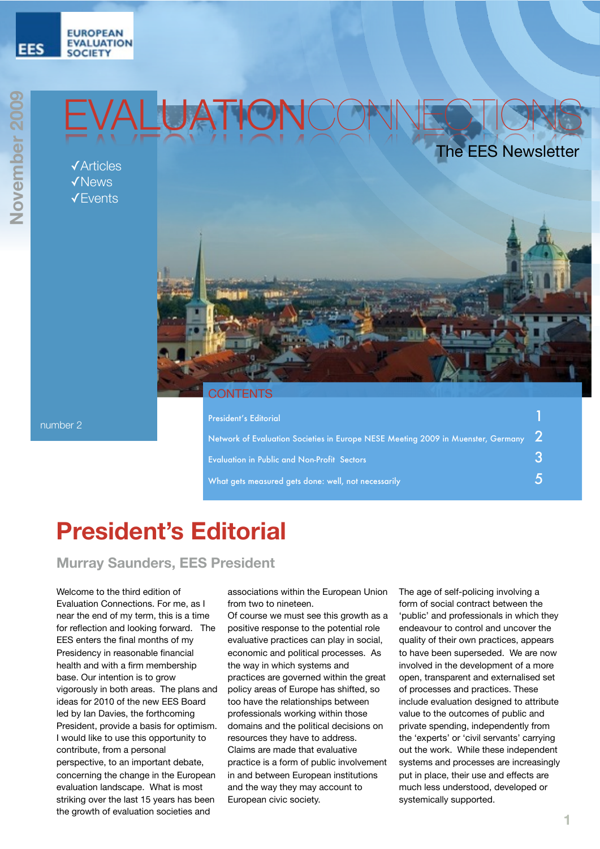#### **EUROPEAN EVALUATION SOCIETY**

**EES** 

# EVALUATIONCONNECTIONS

✓Articles ✓News ✓Events



#### **ONTENTS**

| President's Editorial                                                                          |  |
|------------------------------------------------------------------------------------------------|--|
| Network of Evaluation Societies in Europe NESE Meeting 2009 in Muenster, Germany $\mid 2 \mid$ |  |
| <b>Evaluation in Public and Non-Profit Sectors</b>                                             |  |
| What gets measured gets done: well, not necessarily                                            |  |

## **President's Editorial**

**Murray Saunders, EES President**

Welcome to the third edition of Evaluation Connections. For me, as I near the end of my term, this is a time for reflection and looking forward. The EES enters the final months of my Presidency in reasonable financial health and with a firm membership base. Our intention is to grow vigorously in both areas. The plans and ideas for 2010 of the new EES Board led by Ian Davies, the forthcoming President, provide a basis for optimism. I would like to use this opportunity to contribute, from a personal perspective, to an important debate, concerning the change in the European evaluation landscape. What is most striking over the last 15 years has been the growth of evaluation societies and

associations within the European Union from two to nineteen.

Of course we must see this growth as a positive response to the potential role evaluative practices can play in social, economic and political processes. As the way in which systems and practices are governed within the great policy areas of Europe has shifted, so too have the relationships between professionals working within those domains and the political decisions on resources they have to address. Claims are made that evaluative practice is a form of public involvement in and between European institutions and the way they may account to European civic society.

The age of self-policing involving a form of social contract between the 'public' and professionals in which they endeavour to control and uncover the quality of their own practices, appears to have been superseded. We are now involved in the development of a more open, transparent and externalised set of processes and practices. These include evaluation designed to attribute value to the outcomes of public and private spending, independently from the 'experts' or 'civil servants' carrying out the work. While these independent systems and processes are increasingly put in place, their use and effects are much less understood, developed or systemically supported.

number 2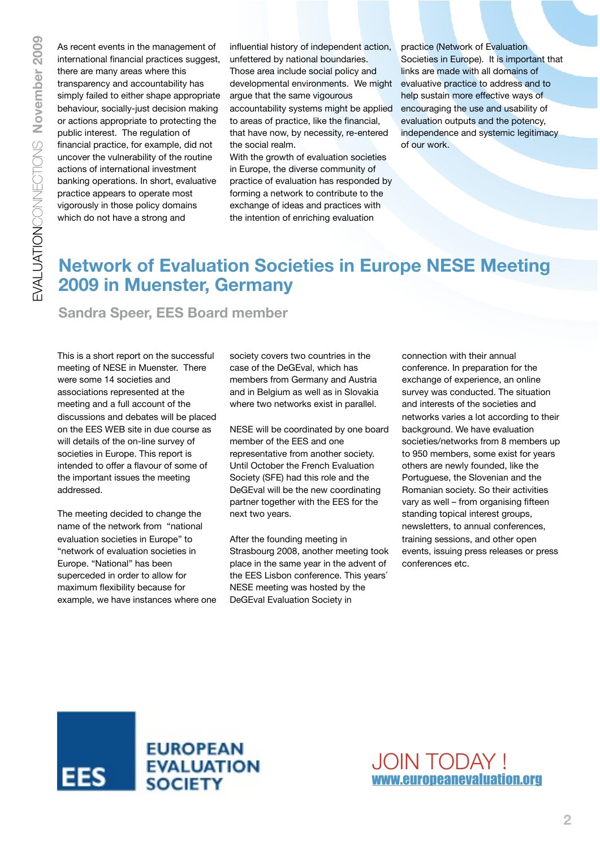As recent events in the management of international financial practices suggest, there are many areas where this transparency and accountability has simply failed to either shape appropriate behaviour, socially-just decision making or actions appropriate to protecting the public interest. The regulation of financial practice, for example, did not uncover the vulnerability of the routine actions of international investment banking operations. In short, evaluative practice appears to operate most vigorously in those policy domains which do not have a strong and

influential history of independent action, unfettered by national boundaries. Those area include social policy and developmental environments. We might argue that the same vigourous accountability systems might be applied to areas of practice, like the financial, that have now, by necessity, re-entered the social realm.

With the growth of evaluation societies in Europe, the diverse community of practice of evaluation has responded by forming a network to contribute to the exchange of ideas and practices with the intention of enriching evaluation

practice (Network of Evaluation Societies in Europe). It is important that links are made with all domains of evaluative practice to address and to help sustain more effective ways of encouraging the use and usability of evaluation outputs and the potency, independence and systemic legitimacy of our work.

### **Network of Evaluation Societies in Europe NESE Meeting 2009 in Muenster, Germany**

**Sandra Speer, EES Board member** 

This is a short report on the successful meeting of NESE in Muenster. There were some 14 societies and associations represented at the meeting and a full account of the discussions and debates will be placed on the EES WEB site in due course as will details of the on-line survey of societies in Europe. This report is intended to offer a flavour of some of the important issues the meeting addressed.

The meeting decided to change the name of the network from "national evaluation societies in Europe" to "network of evaluation societies in Europe. "National" has been superceded in order to allow for maximum flexibility because for example, we have instances where one society covers two countries in the case of the DeGEval, which has members from Germany and Austria and in Belgium as well as in Slovakia where two networks exist in parallel.

NESE will be coordinated by one board member of the EES and one representative from another society. Until October the French Evaluation Society (SFE) had this role and the DeGEval will be the new coordinating partner together with the EES for the next two years.

After the founding meeting in Strasbourg 2008, another meeting took place in the same year in the advent of the EES Lisbon conference. This years´ NESE meeting was hosted by the DeGEval Evaluation Society in

connection with their annual conference. In preparation for the exchange of experience, an online survey was conducted. The situation and interests of the societies and networks varies a lot according to their background. We have evaluation societies/networks from 8 members up to 950 members, some exist for years others are newly founded, like the Portuguese, the Slovenian and the Romanian society. So their activities vary as well – from organising fifteen standing topical interest groups, newsletters, to annual conferences, training sessions, and other open events, issuing press releases or press conferences etc.



JOIN TODAY ! [www.europeanevaluation.org](http://www.europeanevaluation.org)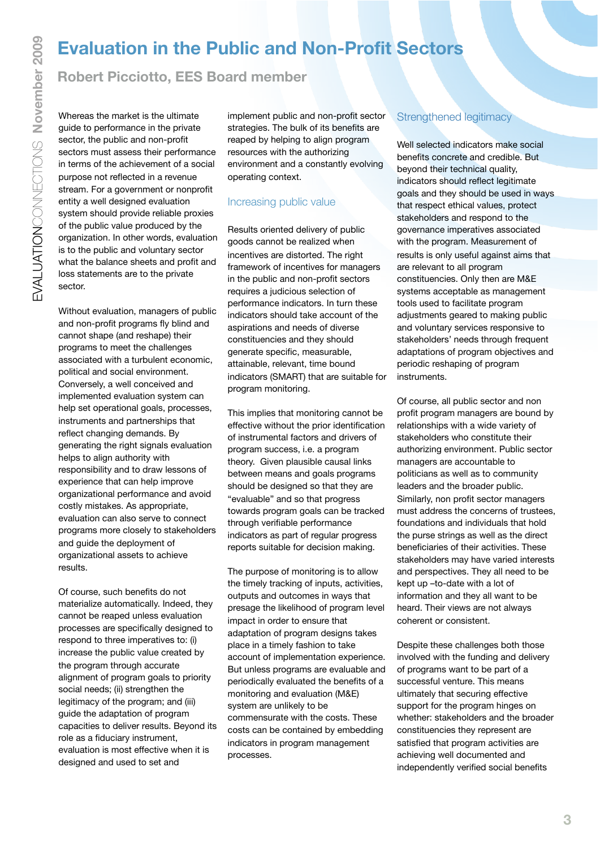## **Evaluation in the Public and Non-Profit Sectors**

#### **Robert Picciotto, EES Board member**

Whereas the market is the ultimate guide to performance in the private sector, the public and non-profit sectors must assess their performance in terms of the achievement of a social purpose not reflected in a revenue stream. For a government or nonprofit entity a well designed evaluation system should provide reliable proxies of the public value produced by the organization. In other words, evaluation is to the public and voluntary sector what the balance sheets and profit and loss statements are to the private sector.

Without evaluation, managers of public and non-profit programs fly blind and cannot shape (and reshape) their programs to meet the challenges associated with a turbulent economic, political and social environment. Conversely, a well conceived and implemented evaluation system can help set operational goals, processes, instruments and partnerships that reflect changing demands. By generating the right signals evaluation helps to align authority with responsibility and to draw lessons of experience that can help improve organizational performance and avoid costly mistakes. As appropriate, evaluation can also serve to connect programs more closely to stakeholders and guide the deployment of organizational assets to achieve results.

Of course, such benefits do not materialize automatically. Indeed, they cannot be reaped unless evaluation processes are specifically designed to respond to three imperatives to: (i) increase the public value created by the program through accurate alignment of program goals to priority social needs; (ii) strengthen the legitimacy of the program; and (iii) guide the adaptation of program capacities to deliver results. Beyond its role as a fiduciary instrument, evaluation is most effective when it is designed and used to set and

implement public and non-profit sector strategies. The bulk of its benefits are reaped by helping to align program resources with the authorizing environment and a constantly evolving operating context.

#### Increasing public value

Results oriented delivery of public goods cannot be realized when incentives are distorted. The right framework of incentives for managers in the public and non-profit sectors requires a judicious selection of performance indicators. In turn these indicators should take account of the aspirations and needs of diverse constituencies and they should generate specific, measurable, attainable, relevant, time bound indicators (SMART) that are suitable for program monitoring.

This implies that monitoring cannot be effective without the prior identification of instrumental factors and drivers of program success, i.e. a program theory. Given plausible causal links between means and goals programs should be designed so that they are "evaluable" and so that progress towards program goals can be tracked through verifiable performance indicators as part of regular progress reports suitable for decision making.

The purpose of monitoring is to allow the timely tracking of inputs, activities, outputs and outcomes in ways that presage the likelihood of program level impact in order to ensure that adaptation of program designs takes place in a timely fashion to take account of implementation experience. But unless programs are evaluable and periodically evaluated the benefits of a monitoring and evaluation (M&E) system are unlikely to be commensurate with the costs. These costs can be contained by embedding indicators in program management processes.

#### Strengthened legitimacy

Well selected indicators make social benefits concrete and credible. But beyond their technical quality, indicators should reflect legitimate goals and they should be used in ways that respect ethical values, protect stakeholders and respond to the governance imperatives associated with the program. Measurement of results is only useful against aims that are relevant to all program constituencies. Only then are M&E systems acceptable as management tools used to facilitate program adjustments geared to making public and voluntary services responsive to stakeholders' needs through frequent adaptations of program objectives and periodic reshaping of program instruments.

Of course, all public sector and non profit program managers are bound by relationships with a wide variety of stakeholders who constitute their authorizing environment. Public sector managers are accountable to politicians as well as to community leaders and the broader public. Similarly, non profit sector managers must address the concerns of trustees, foundations and individuals that hold the purse strings as well as the direct beneficiaries of their activities. These stakeholders may have varied interests and perspectives. They all need to be kept up –to-date with a lot of information and they all want to be heard. Their views are not always coherent or consistent.

Despite these challenges both those involved with the funding and delivery of programs want to be part of a successful venture. This means ultimately that securing effective support for the program hinges on whether: stakeholders and the broader constituencies they represent are satisfied that program activities are achieving well documented and independently verified social benefits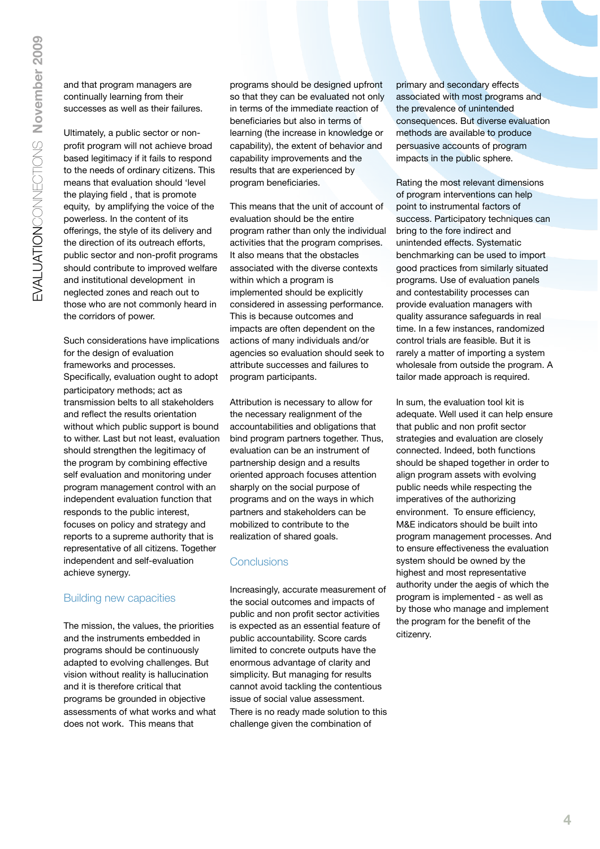and that program managers are continually learning from their successes as well as their failures.

Ultimately, a public sector or nonprofit program will not achieve broad based legitimacy if it fails to respond to the needs of ordinary citizens. This means that evaluation should 'level the playing field , that is promote equity, by amplifying the voice of the powerless. In the content of its offerings, the style of its delivery and the direction of its outreach efforts, public sector and non-profit programs should contribute to improved welfare and institutional development in neglected zones and reach out to those who are not commonly heard in the corridors of power.

Such considerations have implications for the design of evaluation frameworks and processes. Specifically, evaluation ought to adopt participatory methods; act as transmission belts to all stakeholders and reflect the results orientation without which public support is bound to wither. Last but not least, evaluation should strengthen the legitimacy of the program by combining effective self evaluation and monitoring under program management control with an independent evaluation function that responds to the public interest, focuses on policy and strategy and reports to a supreme authority that is representative of all citizens. Together independent and self-evaluation achieve synergy.

#### Building new capacities

The mission, the values, the priorities and the instruments embedded in programs should be continuously adapted to evolving challenges. But vision without reality is hallucination and it is therefore critical that programs be grounded in objective assessments of what works and what does not work. This means that

programs should be designed upfront so that they can be evaluated not only in terms of the immediate reaction of beneficiaries but also in terms of learning (the increase in knowledge or capability), the extent of behavior and capability improvements and the results that are experienced by program beneficiaries.

This means that the unit of account of evaluation should be the entire program rather than only the individual activities that the program comprises. It also means that the obstacles associated with the diverse contexts within which a program is implemented should be explicitly considered in assessing performance. This is because outcomes and impacts are often dependent on the actions of many individuals and/or agencies so evaluation should seek to attribute successes and failures to program participants.

Attribution is necessary to allow for the necessary realignment of the accountabilities and obligations that bind program partners together. Thus, evaluation can be an instrument of partnership design and a results oriented approach focuses attention sharply on the social purpose of programs and on the ways in which partners and stakeholders can be mobilized to contribute to the realization of shared goals.

#### **Conclusions**

Increasingly, accurate measurement of the social outcomes and impacts of public and non profit sector activities is expected as an essential feature of public accountability. Score cards limited to concrete outputs have the enormous advantage of clarity and simplicity. But managing for results cannot avoid tackling the contentious issue of social value assessment. There is no ready made solution to this challenge given the combination of

primary and secondary effects associated with most programs and the prevalence of unintended consequences. But diverse evaluation methods are available to produce persuasive accounts of program impacts in the public sphere.

Rating the most relevant dimensions of program interventions can help point to instrumental factors of success. Participatory techniques can bring to the fore indirect and unintended effects. Systematic benchmarking can be used to import good practices from similarly situated programs. Use of evaluation panels and contestability processes can provide evaluation managers with quality assurance safeguards in real time. In a few instances, randomized control trials are feasible. But it is rarely a matter of importing a system wholesale from outside the program. A tailor made approach is required.

In sum, the evaluation tool kit is adequate. Well used it can help ensure that public and non profit sector strategies and evaluation are closely connected. Indeed, both functions should be shaped together in order to align program assets with evolving public needs while respecting the imperatives of the authorizing environment. To ensure efficiency, M&E indicators should be built into program management processes. And to ensure effectiveness the evaluation system should be owned by the highest and most representative authority under the aegis of which the program is implemented - as well as by those who manage and implement the program for the benefit of the citizenry.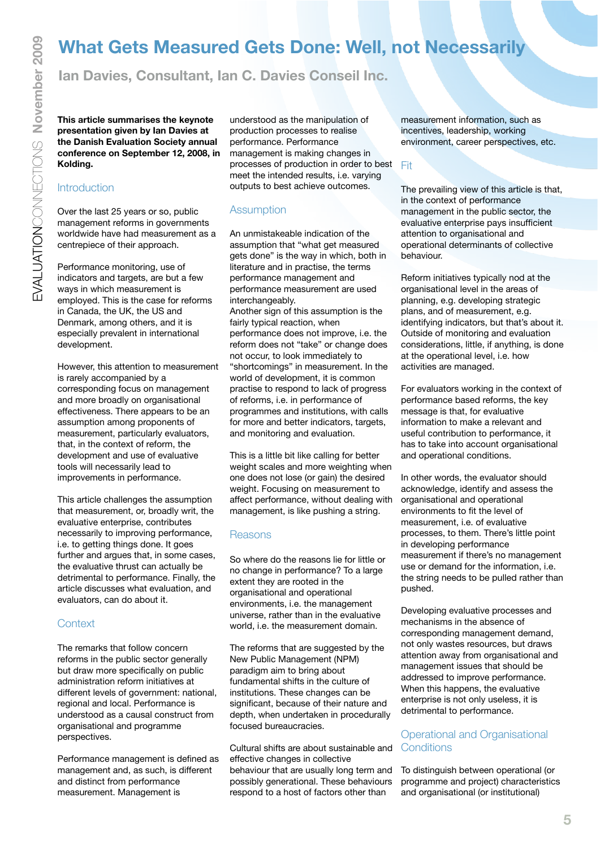## **What Gets Measured Gets Done: Well, not Necessarily**

**Ian Davies, Consultant, Ian C. Davies Conseil Inc.**

**This article summarises the keynote presentation given by Ian Davies at the Danish Evaluation Society annual conference on September 12, 2008, in Kolding.**

#### **Introduction**

Over the last 25 years or so, public management reforms in governments worldwide have had measurement as a centrepiece of their approach.

Performance monitoring, use of indicators and targets, are but a few ways in which measurement is employed. This is the case for reforms in Canada, the UK, the US and Denmark, among others, and it is especially prevalent in international development.

However, this attention to measurement is rarely accompanied by a corresponding focus on management and more broadly on organisational effectiveness. There appears to be an assumption among proponents of measurement, particularly evaluators, that, in the context of reform, the development and use of evaluative tools will necessarily lead to improvements in performance.

This article challenges the assumption that measurement, or, broadly writ, the evaluative enterprise, contributes necessarily to improving performance, i.e. to getting things done. It goes further and argues that, in some cases, the evaluative thrust can actually be detrimental to performance. Finally, the article discusses what evaluation, and evaluators, can do about it.

#### **Context**

The remarks that follow concern reforms in the public sector generally but draw more specifically on public administration reform initiatives at different levels of government: national, regional and local. Performance is understood as a causal construct from organisational and programme perspectives.

Performance management is defined as management and, as such, is different and distinct from performance measurement. Management is

understood as the manipulation of production processes to realise performance. Performance management is making changes in processes of production in order to best meet the intended results, i.e. varying outputs to best achieve outcomes.

#### **Assumption**

An unmistakeable indication of the assumption that "what get measured gets done" is the way in which, both in literature and in practise, the terms performance management and performance measurement are used interchangeably.

Another sign of this assumption is the fairly typical reaction, when performance does not improve, i.e. the reform does not "take" or change does not occur, to look immediately to "shortcomings" in measurement. In the world of development, it is common practise to respond to lack of progress of reforms, i.e. in performance of programmes and institutions, with calls for more and better indicators, targets, and monitoring and evaluation.

This is a little bit like calling for better weight scales and more weighting when one does not lose (or gain) the desired weight. Focusing on measurement to affect performance, without dealing with management, is like pushing a string.

#### **Reasons**

So where do the reasons lie for little or no change in performance? To a large extent they are rooted in the organisational and operational environments, i.e. the management universe, rather than in the evaluative world, i.e. the measurement domain.

The reforms that are suggested by the New Public Management (NPM) paradigm aim to bring about fundamental shifts in the culture of institutions. These changes can be significant, because of their nature and depth, when undertaken in procedurally focused bureaucracies.

Cultural shifts are about sustainable and effective changes in collective behaviour that are usually long term and possibly generational. These behaviours respond to a host of factors other than

measurement information, such as incentives, leadership, working environment, career perspectives, etc.

Fit

The prevailing view of this article is that, in the context of performance management in the public sector, the evaluative enterprise pays insufficient attention to organisational and operational determinants of collective behaviour.

Reform initiatives typically nod at the organisational level in the areas of planning, e.g. developing strategic plans, and of measurement, e.g. identifying indicators, but that's about it. Outside of monitoring and evaluation considerations, little, if anything, is done at the operational level, i.e. how activities are managed.

For evaluators working in the context of performance based reforms, the key message is that, for evaluative information to make a relevant and useful contribution to performance, it has to take into account organisational and operational conditions.

In other words, the evaluator should acknowledge, identify and assess the organisational and operational environments to fit the level of measurement, i.e. of evaluative processes, to them. There's little point in developing performance measurement if there's no management use or demand for the information, i.e. the string needs to be pulled rather than pushed.

Developing evaluative processes and mechanisms in the absence of corresponding management demand, not only wastes resources, but draws attention away from organisational and management issues that should be addressed to improve performance. When this happens, the evaluative enterprise is not only useless, it is detrimental to performance.

#### Operational and Organisational **Conditions**

To distinguish between operational (or programme and project) characteristics and organisational (or institutional)